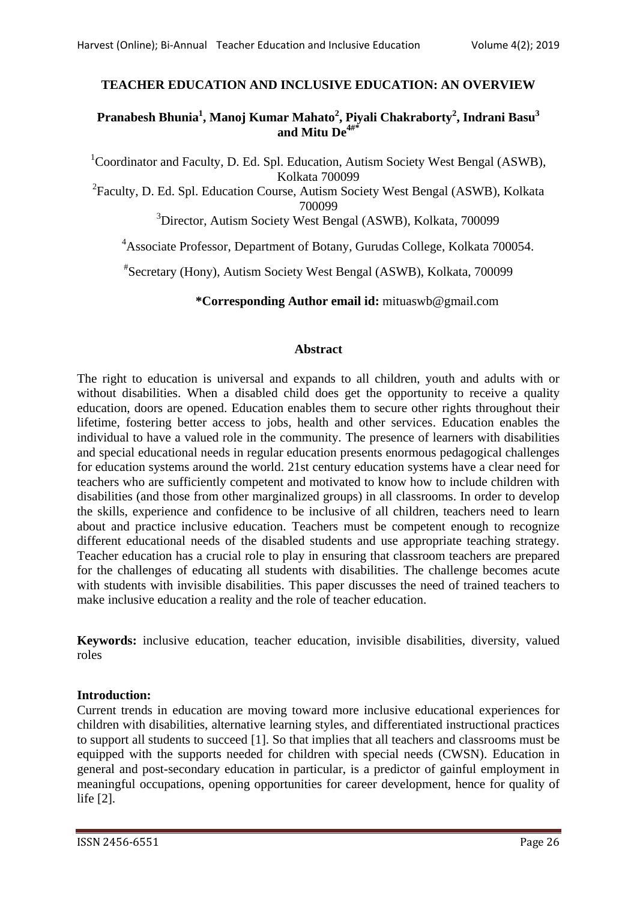# **TEACHER EDUCATION AND INCLUSIVE EDUCATION: AN OVERVIEW**

# **Pranabesh Bhunia<sup>1</sup> , Manoj Kumar Mahato<sup>2</sup> , Piyali Chakraborty<sup>2</sup> , Indrani Basu<sup>3</sup> and Mitu De4#\***

<sup>1</sup>Coordinator and Faculty, D. Ed. Spl. Education, Autism Society West Bengal (ASWB), Kolkata 700099 <sup>2</sup> Faculty, D. Ed. Spl. Education Course, Autism Society West Bengal (ASWB), Kolkata

700099

<sup>3</sup>Director, Autism Society West Bengal (ASWB), Kolkata, 700099

<sup>4</sup>Associate Professor, Department of Botany, Gurudas College, Kolkata 700054.

# Secretary (Hony), Autism Society West Bengal (ASWB), Kolkata, 700099

**\*Corresponding Author email id:** mituaswb@gmail.com

# **Abstract**

The right to education is universal and expands to all children, youth and adults with or without disabilities. When a disabled child does get the opportunity to receive a quality education, doors are opened. Education enables them to secure other rights throughout their lifetime, fostering better access to jobs, health and other services. Education enables the individual to have a valued role in the community. The presence of learners with disabilities and special educational needs in regular education presents enormous pedagogical challenges for education systems around the world. 21st century education systems have a clear need for teachers who are sufficiently competent and motivated to know how to include children with disabilities (and those from other marginalized groups) in all classrooms. In order to develop the skills, experience and confidence to be inclusive of all children, teachers need to learn about and practice inclusive education. Teachers must be competent enough to recognize different educational needs of the disabled students and use appropriate teaching strategy. Teacher education has a crucial role to play in ensuring that classroom teachers are prepared for the challenges of educating all students with disabilities. The challenge becomes acute with students with invisible disabilities. This paper discusses the need of trained teachers to make inclusive education a reality and the role of teacher education.

**Keywords:** inclusive education, teacher education, invisible disabilities, diversity, valued roles

# **Introduction:**

Current trends in education are moving toward more inclusive educational experiences for children with disabilities, alternative learning styles, and differentiated instructional practices to support all students to succeed [1]. So that implies that all teachers and classrooms must be equipped with the supports needed for children with special needs (CWSN). Education in general and post-secondary education in particular, is a predictor of gainful employment in meaningful occupations, opening opportunities for career development, hence for quality of life [2].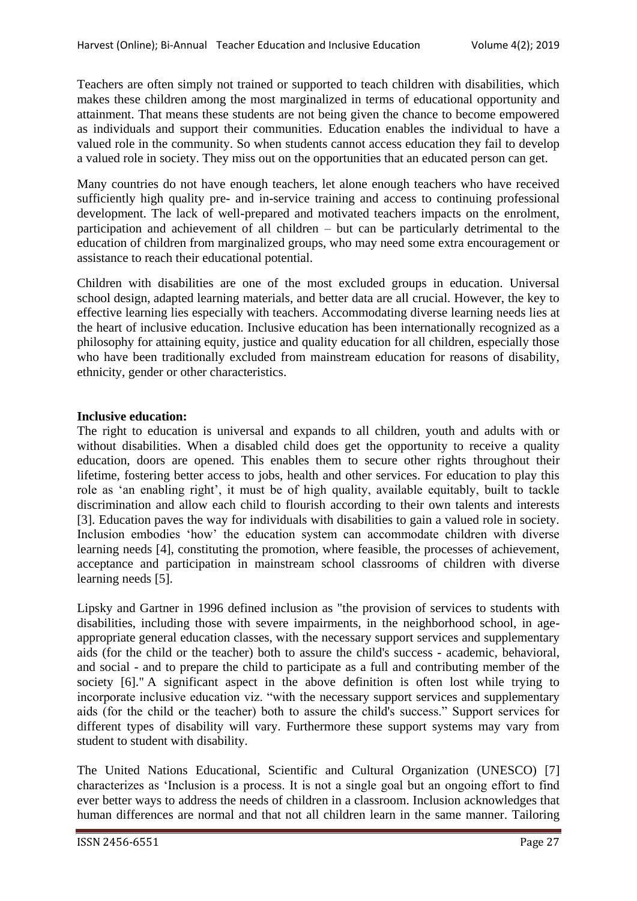Teachers are often simply not trained or supported to teach children with disabilities, which makes these children among the most marginalized in terms of educational opportunity and attainment. That means these students are not being given the chance to become empowered as individuals and support their communities. Education enables the individual to have a valued role in the community. So when students cannot access education they fail to develop a valued role in society. They miss out on the opportunities that an educated person can get.

Many countries do not have enough teachers, let alone enough teachers who have received sufficiently high quality pre- and in-service training and access to continuing professional development. The lack of well-prepared and motivated teachers impacts on the enrolment, participation and achievement of all children – but can be particularly detrimental to the education of children from marginalized groups, who may need some extra encouragement or assistance to reach their educational potential.

Children with disabilities are one of the most excluded groups in education. Universal school design, adapted learning materials, and better data are all crucial. However, the key to effective learning lies especially with teachers. Accommodating diverse learning needs lies at the heart of inclusive education. Inclusive education has been internationally recognized as a philosophy for attaining equity, justice and quality education for all children, especially those who have been traditionally excluded from mainstream education for reasons of disability, ethnicity, gender or other characteristics.

## **Inclusive education:**

The right to education is universal and expands to all children, youth and adults with or without disabilities. When a disabled child does get the opportunity to receive a quality education, doors are opened. This enables them to secure other rights throughout their lifetime, fostering better access to jobs, health and other services. For education to play this role as "an enabling right", it must be of high quality, available equitably, built to tackle discrimination and allow each child to flourish according to their own talents and interests [3]. Education paves the way for individuals with disabilities to gain a valued role in society. Inclusion embodies "how" the education system can accommodate children with diverse learning needs [4], constituting the promotion, where feasible, the processes of achievement, acceptance and participation in mainstream school classrooms of children with diverse learning needs [5].

Lipsky and Gartner in 1996 defined inclusion as "the provision of services to students with disabilities, including those with severe impairments, in the neighborhood school, in ageappropriate general education classes, with the necessary support services and supplementary aids (for the child or the teacher) both to assure the child's success - academic, behavioral, and social - and to prepare the child to participate as a full and contributing member of the society [6]." A significant aspect in the above definition is often lost while trying to incorporate inclusive education viz. "with the necessary support services and supplementary aids (for the child or the teacher) both to assure the child's success." Support services for different types of disability will vary. Furthermore these support systems may vary from student to student with disability.

The United Nations Educational, Scientific and Cultural Organization (UNESCO) [7] characterizes as "Inclusion is a process. It is not a single goal but an ongoing effort to find ever better ways to address the needs of children in a classroom. Inclusion acknowledges that human differences are normal and that not all children learn in the same manner. Tailoring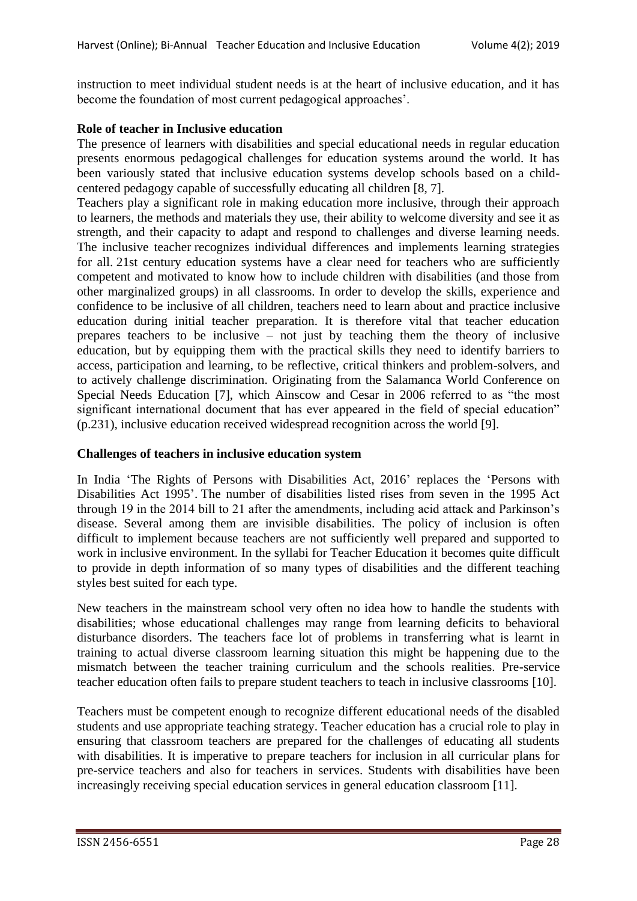instruction to meet individual student needs is at the heart of inclusive education, and it has become the foundation of most current pedagogical approaches".

## **Role of teacher in Inclusive education**

The presence of learners with disabilities and special educational needs in regular education presents enormous pedagogical challenges for education systems around the world. It has been variously stated that inclusive education systems develop schools based on a childcentered pedagogy capable of successfully educating all children [8, 7].

Teachers play a significant role in making education more inclusive, through their approach to learners, the methods and materials they use, their ability to welcome diversity and see it as strength, and their capacity to adapt and respond to challenges and diverse learning needs. The inclusive teacher recognizes individual differences and implements learning strategies for all. 21st century education systems have a clear need for teachers who are sufficiently competent and motivated to know how to include children with disabilities (and those from other marginalized groups) in all classrooms. In order to develop the skills, experience and confidence to be inclusive of all children, teachers need to learn about and practice inclusive education during initial teacher preparation. It is therefore vital that teacher education prepares teachers to be inclusive – not just by teaching them the theory of inclusive education, but by equipping them with the practical skills they need to identify barriers to access, participation and learning, to be reflective, critical thinkers and problem-solvers, and to actively challenge discrimination. Originating from the Salamanca World Conference on Special Needs Education [7], which Ainscow and Cesar in 2006 referred to as "the most significant international document that has ever appeared in the field of special education" (p.231), inclusive education received widespread recognition across the world [9].

#### **Challenges of teachers in inclusive education system**

In India "The Rights of Persons with Disabilities Act, 2016" replaces the "Persons with Disabilities Act 1995'. The number of disabilities listed rises from seven in the 1995 Act through 19 in the 2014 bill to 21 after the amendments, including acid attack and Parkinson"s disease. Several among them are invisible disabilities. The policy of inclusion is often difficult to implement because teachers are not sufficiently well prepared and supported to work in inclusive environment. In the syllabi for Teacher Education it becomes quite difficult to provide in depth information of so many types of disabilities and the different teaching styles best suited for each type.

New teachers in the mainstream school very often no idea how to handle the students with disabilities; whose educational challenges may range from learning deficits to behavioral disturbance disorders. The teachers face lot of problems in transferring what is learnt in training to actual diverse classroom learning situation this might be happening due to the mismatch between the teacher training curriculum and the schools realities. Pre-service teacher education often fails to prepare student teachers to teach in inclusive classrooms [10].

Teachers must be competent enough to recognize different educational needs of the disabled students and use appropriate teaching strategy. Teacher education has a crucial role to play in ensuring that classroom teachers are prepared for the challenges of educating all students with disabilities. It is imperative to prepare teachers for inclusion in all curricular plans for pre-service teachers and also for teachers in services. Students with disabilities have been increasingly receiving special education services in general education classroom [11].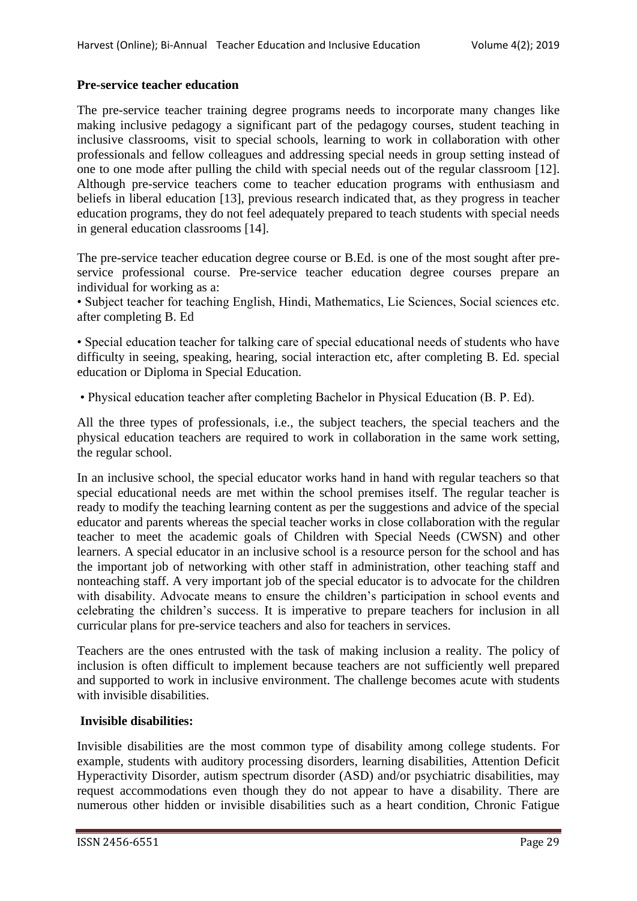## **Pre-service teacher education**

The pre-service teacher training degree programs needs to incorporate many changes like making inclusive pedagogy a significant part of the pedagogy courses, student teaching in inclusive classrooms, visit to special schools, learning to work in collaboration with other professionals and fellow colleagues and addressing special needs in group setting instead of one to one mode after pulling the child with special needs out of the regular classroom [12]. Although pre-service teachers come to teacher education programs with enthusiasm and beliefs in liberal education [13], previous research indicated that, as they progress in teacher education programs, they do not feel adequately prepared to teach students with special needs in general education classrooms [14].

The pre-service teacher education degree course or B.Ed. is one of the most sought after preservice professional course. Pre-service teacher education degree courses prepare an individual for working as a:

• Subject teacher for teaching English, Hindi, Mathematics, Lie Sciences, Social sciences etc. after completing B. Ed

• Special education teacher for talking care of special educational needs of students who have difficulty in seeing, speaking, hearing, social interaction etc, after completing B. Ed. special education or Diploma in Special Education.

• Physical education teacher after completing Bachelor in Physical Education (B. P. Ed).

All the three types of professionals, i.e., the subject teachers, the special teachers and the physical education teachers are required to work in collaboration in the same work setting, the regular school.

In an inclusive school, the special educator works hand in hand with regular teachers so that special educational needs are met within the school premises itself. The regular teacher is ready to modify the teaching learning content as per the suggestions and advice of the special educator and parents whereas the special teacher works in close collaboration with the regular teacher to meet the academic goals of Children with Special Needs (CWSN) and other learners. A special educator in an inclusive school is a resource person for the school and has the important job of networking with other staff in administration, other teaching staff and nonteaching staff. A very important job of the special educator is to advocate for the children with disability. Advocate means to ensure the children's participation in school events and celebrating the children"s success. It is imperative to prepare teachers for inclusion in all curricular plans for pre-service teachers and also for teachers in services.

Teachers are the ones entrusted with the task of making inclusion a reality. The policy of inclusion is often difficult to implement because teachers are not sufficiently well prepared and supported to work in inclusive environment. The challenge becomes acute with students with invisible disabilities.

## **Invisible disabilities:**

Invisible disabilities are the most common type of disability among college students. For example, students with auditory processing disorders, learning disabilities, Attention Deficit Hyperactivity Disorder, autism spectrum disorder (ASD) and/or psychiatric disabilities, may request accommodations even though they do not appear to have a disability. There are numerous other hidden or invisible disabilities such as a heart condition, Chronic Fatigue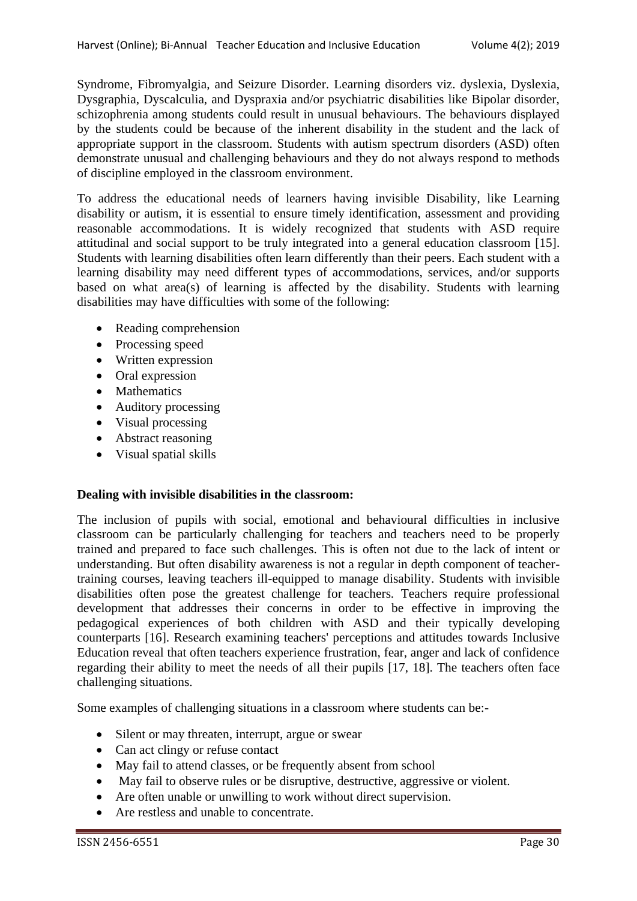Syndrome, Fibromyalgia, and Seizure Disorder. Learning disorders viz. dyslexia, Dyslexia, Dysgraphia, Dyscalculia, and Dyspraxia and/or psychiatric disabilities like Bipolar disorder, schizophrenia among students could result in unusual behaviours. The behaviours displayed by the students could be because of the inherent disability in the student and the lack of appropriate support in the classroom. Students with autism spectrum disorders (ASD) often demonstrate unusual and challenging behaviours and they do not always respond to methods of discipline employed in the classroom environment.

To address the educational needs of learners having invisible Disability, like Learning disability or autism, it is essential to ensure timely identification, assessment and providing reasonable accommodations. It is widely recognized that students with ASD require attitudinal and social support to be truly integrated into a general education classroom [15]. Students with learning disabilities often learn differently than their peers. Each student with a learning disability may need different types of accommodations, services, and/or supports based on what area(s) of learning is affected by the disability. Students with learning disabilities may have difficulties with some of the following:

- Reading comprehension
- Processing speed
- Written expression
- Oral expression
- Mathematics
- Auditory processing
- Visual processing
- Abstract reasoning
- Visual spatial skills

## **Dealing with invisible disabilities in the classroom:**

The inclusion of pupils with social, emotional and behavioural difficulties in inclusive classroom can be particularly challenging for teachers and teachers need to be properly trained and prepared to face such challenges. This is often not due to the lack of intent or understanding. But often disability awareness is not a regular in depth component of teachertraining courses, leaving teachers ill-equipped to manage disability. Students with invisible disabilities often pose the greatest challenge for teachers. Teachers require professional development that addresses their concerns in order to be effective in improving the pedagogical experiences of both children with ASD and their typically developing counterparts [16]. Research examining teachers' perceptions and attitudes towards Inclusive Education reveal that often teachers experience frustration, fear, anger and lack of confidence regarding their ability to meet the needs of all their pupils [17, 18]. The teachers often face challenging situations.

Some examples of challenging situations in a classroom where students can be:-

- Silent or may threaten, interrupt, argue or swear
- Can act clingy or refuse contact
- May fail to attend classes, or be frequently absent from school
- May fail to observe rules or be disruptive, destructive, aggressive or violent.
- Are often unable or unwilling to work without direct supervision.
- Are restless and unable to concentrate.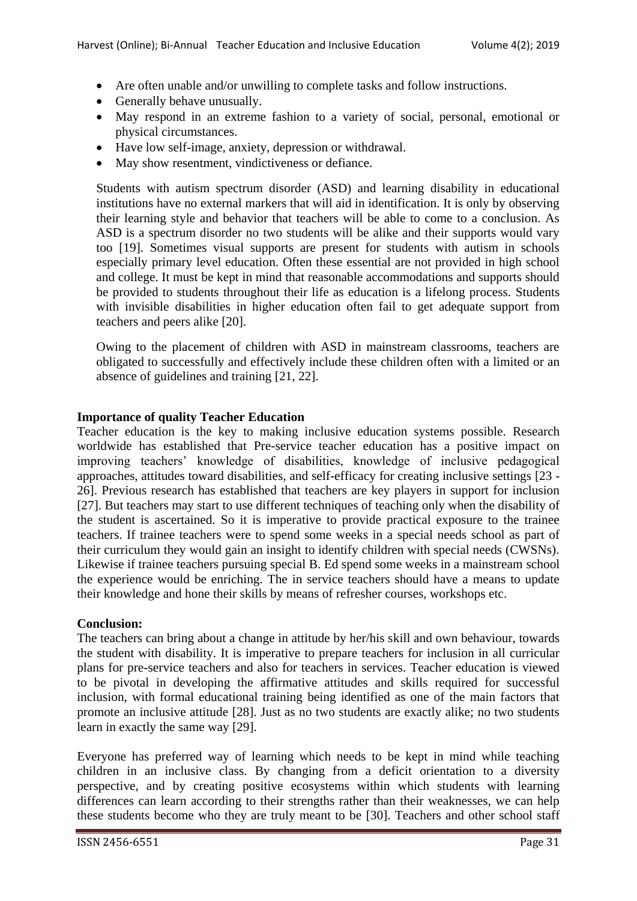- Are often unable and/or unwilling to complete tasks and follow instructions.
- Generally behave unusually.
- May respond in an extreme fashion to a variety of social, personal, emotional or physical circumstances.
- Have low self-image, anxiety, depression or withdrawal.
- May show resentment, vindictiveness or defiance.

Students with autism spectrum disorder (ASD) and learning disability in educational institutions have no external markers that will aid in identification. It is only by observing their learning style and behavior that teachers will be able to come to a conclusion. As ASD is a spectrum disorder no two students will be alike and their supports would vary too [19]. Sometimes visual supports are present for students with autism in schools especially primary level education. Often these essential are not provided in high school and college. It must be kept in mind that reasonable accommodations and supports should be provided to students throughout their life as education is a lifelong process. Students with invisible disabilities in higher education often fail to get adequate support from teachers and peers alike [20].

Owing to the placement of children with ASD in mainstream classrooms, teachers are obligated to successfully and effectively include these children often with a limited or an absence of guidelines and training [21, 22].

# **Importance of quality Teacher Education**

Teacher education is the key to making inclusive education systems possible. Research worldwide has established that Pre-service teacher education has a positive impact on improving teachers" knowledge of disabilities, knowledge of inclusive pedagogical approaches, attitudes toward disabilities, and self-efficacy for creating inclusive settings [23 - 26]. Previous research has established that teachers are key players in support for inclusion [27]. But teachers may start to use different techniques of teaching only when the disability of the student is ascertained. So it is imperative to provide practical exposure to the trainee teachers. If trainee teachers were to spend some weeks in a special needs school as part of their curriculum they would gain an insight to identify children with special needs (CWSNs). Likewise if trainee teachers pursuing special B. Ed spend some weeks in a mainstream school the experience would be enriching. The in service teachers should have a means to update their knowledge and hone their skills by means of refresher courses, workshops etc.

## **Conclusion:**

The teachers can bring about a change in attitude by her/his skill and own behaviour, towards the student with disability. It is imperative to prepare teachers for inclusion in all curricular plans for pre-service teachers and also for teachers in services. Teacher education is viewed to be pivotal in developing the affirmative attitudes and skills required for successful inclusion, with formal educational training being identified as one of the main factors that promote an inclusive attitude [28]. Just as no two students are exactly alike; no two students learn in exactly the same way [29].

Everyone has preferred way of learning which needs to be kept in mind while teaching children in an inclusive class. By changing from a deficit orientation to a diversity perspective, and by creating positive ecosystems within which students with learning differences can learn according to their strengths rather than their weaknesses, we can help these students become who they are truly meant to be [30]. Teachers and other school staff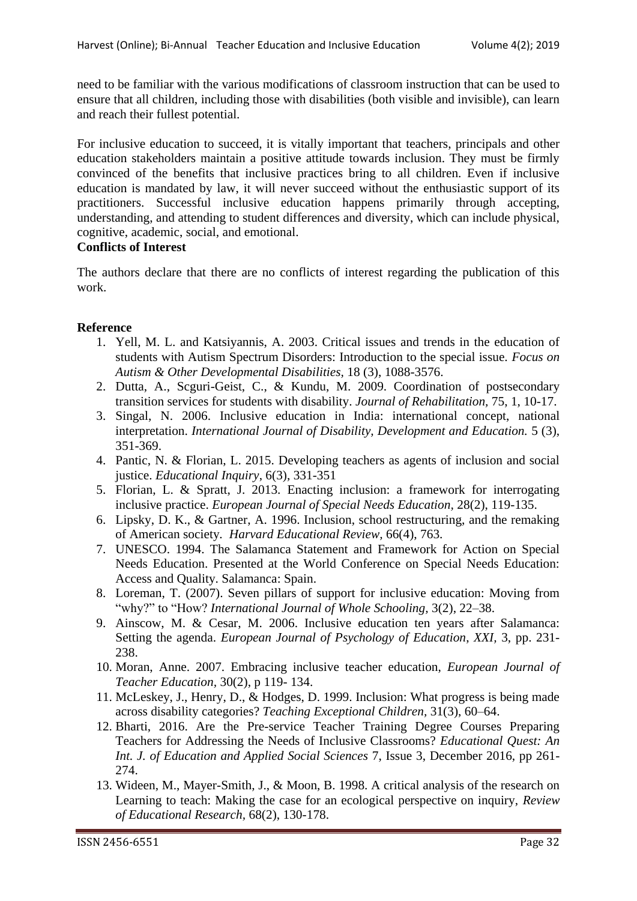need to be familiar with the various modifications of classroom instruction that can be used to ensure that all children, including those with disabilities (both visible and invisible), can learn and reach their fullest potential.

For inclusive education to succeed, it is vitally important that teachers, principals and other education stakeholders maintain a positive attitude towards inclusion. They must be firmly convinced of the benefits that inclusive practices bring to all children. Even if inclusive education is mandated by law, it will never succeed without the enthusiastic support of its practitioners. Successful inclusive education happens primarily through accepting, understanding, and attending to student differences and diversity, which can include physical, cognitive, academic, social, and emotional.

## **Conflicts of Interest**

The authors declare that there are no conflicts of interest regarding the publication of this work.

## **Reference**

- 1. Yell, M. L. and Katsiyannis, A. 2003. Critical issues and trends in the education of students with Autism Spectrum Disorders: Introduction to the special issue. *Focus on Autism & Other Developmental Disabilities,* 18 (3), 1088-3576.
- 2. Dutta, A., Scguri-Geist, C., & Kundu, M. 2009. Coordination of postsecondary transition services for students with disability. *Journal of Rehabilitation,* 75, 1, 10-17.
- 3. Singal, N. 2006. Inclusive education in India: international concept, national interpretation. *International Journal of Disability, Development and Education.* 5 (3), 351-369.
- 4. Pantic, N. & Florian, L. 2015. Developing teachers as agents of inclusion and social justice. *Educational Inquiry*, 6(3), 331-351
- 5. Florian, L. & Spratt, J. 2013. Enacting inclusion: a framework for interrogating inclusive practice. *European Journal of Special Needs Education,* 28(2), 119-135.
- 6. Lipsky, D. K., & Gartner, A. 1996. Inclusion, school restructuring, and the remaking of American society*. Harvard Educational Review,* 66(4), 763.
- 7. UNESCO. 1994. The Salamanca Statement and Framework for Action on Special Needs Education. Presented at the World Conference on Special Needs Education: Access and Quality. Salamanca: Spain.
- 8. Loreman, T. (2007). Seven pillars of support for inclusive education: Moving from "why?" to "How? *International Journal of Whole Schooling,* 3(2), 22–38.
- 9. Ainscow, M. & Cesar, M. 2006. Inclusive education ten years after Salamanca: Setting the agenda. *European Journal of Psychology of Education*, *XXI,* 3, pp. 231- 238.
- 10. Moran, Anne. 2007. Embracing inclusive teacher education, *European Journal of Teacher Education,* 30(2), p 119- 134.
- 11. McLeskey, J., Henry, D., & Hodges, D. 1999. Inclusion: What progress is being made across disability categories? *Teaching Exceptional Children,* 31(3), 60–64.
- 12. Bharti, 2016. Are the Pre-service Teacher Training Degree Courses Preparing Teachers for Addressing the Needs of Inclusive Classrooms? *Educational Quest: An Int. J. of Education and Applied Social Sciences* 7, Issue 3, December 2016, pp 261- 274.
- 13. Wideen, M., Mayer-Smith, J., & Moon, B. 1998. A critical analysis of the research on Learning to teach: Making the case for an ecological perspective on inquiry, *Review of Educational Research,* 68(2), 130-178.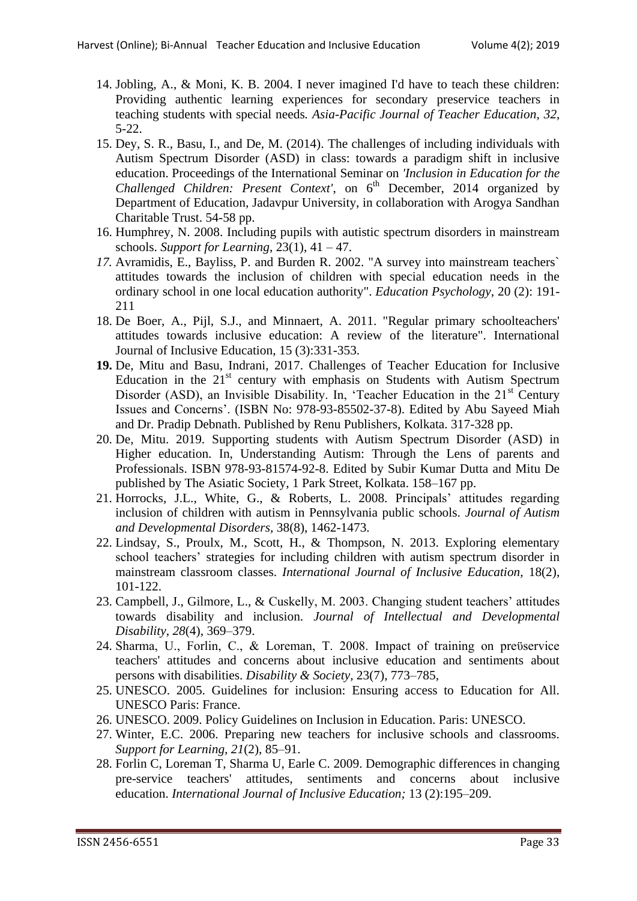- 14. Jobling, A., & Moni, K. B. 2004. I never imagined I'd have to teach these children: Providing authentic learning experiences for secondary preservice teachers in teaching students with special needs*. Asia-Pacific Journal of Teacher Education, 32*, 5-22.
- 15. Dey, S. R., Basu, I., and De, M. (2014). The challenges of including individuals with Autism Spectrum Disorder (ASD) in class: towards a paradigm shift in inclusive education. Proceedings of the International Seminar on *'Inclusion in Education for the Challenged Children: Present Context'*, on 6<sup>th</sup> December, 2014 organized by Department of Education, Jadavpur University, in collaboration with Arogya Sandhan Charitable Trust. 54-58 pp.
- 16. Humphrey, N. 2008. Including pupils with autistic spectrum disorders in mainstream schools. *Support for Learning,* 23(1), 41 – 47.
- *17.* Avramidis, E., Bayliss, P. and Burden R. 2002. "A survey into mainstream teachers` attitudes towards the inclusion of children with special education needs in the ordinary school in one local education authority". *Education Psychology,* 20 (2): 191- 211
- 18. De Boer, A., Pijl, S.J., and Minnaert, A. 2011. "Regular primary schoolteachers' attitudes towards inclusive education: A review of the literature". International Journal of Inclusive Education, 15 (3):331-353.
- **19.** De, Mitu and Basu, Indrani, 2017. Challenges of Teacher Education for Inclusive Education in the  $21<sup>st</sup>$  century with emphasis on Students with Autism Spectrum Disorder (ASD), an Invisible Disability. In, 'Teacher Education in the  $21<sup>st</sup>$  Century Issues and Concerns". (ISBN No: 978-93-85502-37-8). Edited by Abu Sayeed Miah and Dr. Pradip Debnath. Published by Renu Publishers, Kolkata. 317-328 pp.
- 20. De, Mitu. 2019. Supporting students with Autism Spectrum Disorder (ASD) in Higher education. In, Understanding Autism: Through the Lens of parents and Professionals. ISBN 978-93-81574-92-8. Edited by Subir Kumar Dutta and Mitu De published by The Asiatic Society, 1 Park Street, Kolkata. 158–167 pp.
- 21. Horrocks, J.L., White, G., & Roberts, L. 2008. Principals" attitudes regarding inclusion of children with autism in Pennsylvania public schools. *Journal of Autism and Developmental Disorders,* 38(8), 1462-1473.
- 22. Lindsay, S., Proulx, M., Scott, H., & Thompson, N. 2013. Exploring elementary school teachers" strategies for including children with autism spectrum disorder in mainstream classroom classes. *International Journal of Inclusive Education,* 18(2), 101-122.
- 23. Campbell, J., Gilmore, L., & Cuskelly, M. 2003. Changing student teachers' attitudes towards disability and inclusion. *Journal of Intellectual and Developmental Disability*, *28*(4), 369–379.
- 24. Sharma, U., Forlin, C., & Loreman, T. 2008. Impact of training on preϋservice teachers' attitudes and concerns about inclusive education and sentiments about persons with disabilities. *Disability & Society,* 23(7), 773–785,
- 25. UNESCO. 2005. Guidelines for inclusion: Ensuring access to Education for All. UNESCO Paris: France.
- 26. UNESCO. 2009. Policy Guidelines on Inclusion in Education. Paris: UNESCO.
- 27. Winter, E.C. 2006. Preparing new teachers for inclusive schools and classrooms. *Support for Learning, 21*(2), 85–91.
- 28. Forlin C, Loreman T, Sharma U, Earle C. 2009. Demographic differences in changing pre-service teachers' attitudes, sentiments and concerns about inclusive education. *International Journal of Inclusive Education;* 13 (2):195–209.